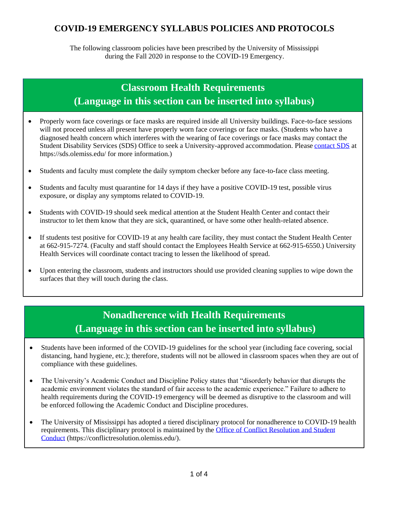#### **COVID-19 EMERGENCY SYLLABUS POLICIES AND PROTOCOLS**

The following classroom policies have been prescribed by the University of Mississippi during the Fall 2020 in response to the COVID-19 Emergency.

## **Classroom Health Requirements (Language in this section can be inserted into syllabus)**

- Properly worn face coverings or face masks are required inside all University buildings. Face-to-face sessions will not proceed unless all present have properly worn face coverings or face masks. (Students who have a diagnosed health concern which interferes with the wearing of face coverings or face masks may contact the Student Disability Services (SDS) Office to seek a University-approved accommodation. Please [contact SDS](https://sds.olemiss.edu) at https://sds.olemiss.edu/ for more information.)
- Students and faculty must complete the daily symptom checker before any face-to-face class meeting.
- Students and faculty must quarantine for 14 days if they have a positive COVID-19 test, possible virus exposure, or display any symptoms related to COVID-19.
- Students with COVID-19 should seek medical attention at the Student Health Center and contact their instructor to let them know that they are sick, quarantined, or have some other health-related absence.
- If students test positive for COVID-19 at any health care facility, they must contact the Student Health Center at 662-915-7274. (Faculty and staff should contact the Employees Health Service at 662-915-6550.) University Health Services will coordinate contact tracing to lessen the likelihood of spread.
- Upon entering the classroom, students and instructors should use provided cleaning supplies to wipe down the surfaces that they will touch during the class.

# **Nonadherence with Health Requirements (Language in this section can be inserted into syllabus)**

- Students have been informed of the COVID-19 guidelines for the school year (including face covering, social distancing, hand hygiene, etc.); therefore, students will not be allowed in classroom spaces when they are out of compliance with these guidelines.
- The University's Academic Conduct and Discipline Policy states that "disorderly behavior that disrupts the academic environment violates the standard of fair access to the academic experience." Failure to adhere to health requirements during the COVID-19 emergency will be deemed as disruptive to the classroom and will be enforced following the Academic Conduct and Discipline procedures.
- The University of Mississippi has adopted a tiered disciplinary protocol for nonadherence to COVID-19 health requirements. This disciplinary protocol is maintained by the Office of Conflict Resolution and Student [Conduct](https://conflictresolution.olemiss.edu/) (https://conflictresolution.olemiss.edu/).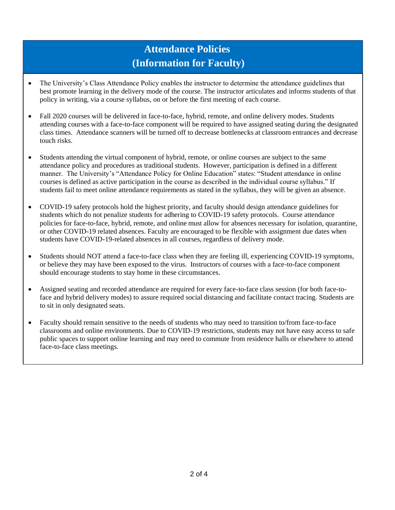# **Attendance Policies (Information for Faculty)**

- The University's Class Attendance Policy enables the instructor to determine the attendance guidelines that best promote learning in the delivery mode of the course. The instructor articulates and informs students of that policy in writing, via a course syllabus, on or before the first meeting of each course.
- Fall 2020 courses will be delivered in face-to-face, hybrid, remote, and online delivery modes. Students attending courses with a face-to-face component will be required to have assigned seating during the designated class times. Attendance scanners will be turned off to decrease bottlenecks at classroom entrances and decrease touch risks.
- Students attending the virtual component of hybrid, remote, or online courses are subject to the same attendance policy and procedures as traditional students. However, participation is defined in a different manner. The University's "Attendance Policy for Online Education" states: "Student attendance in online courses is defined as active participation in the course as described in the individual course syllabus." If students fail to meet online attendance requirements as stated in the syllabus, they will be given an absence.
- COVID-19 safety protocols hold the highest priority, and faculty should design attendance guidelines for students which do not penalize students for adhering to COVID-19 safety protocols. Course attendance policies for face-to-face, hybrid, remote, and online must allow for absences necessary for isolation, quarantine, or other COVID-19 related absences. Faculty are encouraged to be flexible with assignment due dates when students have COVID-19-related absences in all courses, regardless of delivery mode.
- Students should NOT attend a face-to-face class when they are feeling ill, experiencing COVID-19 symptoms, or believe they may have been exposed to the virus. Instructors of courses with a face-to-face component should encourage students to stay home in these circumstances.
- Assigned seating and recorded attendance are required for every face-to-face class session (for both face-toface and hybrid delivery modes) to assure required social distancing and facilitate contact tracing. Students are to sit in only designated seats.
- Faculty should remain sensitive to the needs of students who may need to transition to/from face-to-face classrooms and online environments. Due to COVID-19 restrictions, students may not have easy access to safe public spaces to support online learning and may need to commute from residence halls or elsewhere to attend face-to-face class meetings.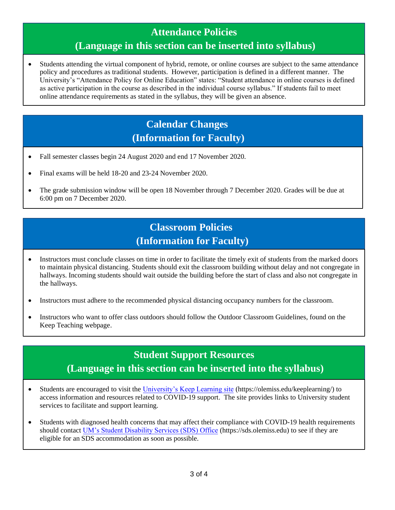### **Attendance Policies**

### **(Language in this section can be inserted into syllabus)**

• Students attending the virtual component of hybrid, remote, or online courses are subject to the same attendance policy and procedures as traditional students. However, participation is defined in a different manner. The University's "Attendance Policy for Online Education" states: "Student attendance in online courses is defined as active participation in the course as described in the individual course syllabus." If students fail to meet online attendance requirements as stated in the syllabus, they will be given an absence.

## **Calendar Changes (Information for Faculty)**

- Fall semester classes begin 24 August 2020 and end 17 November 2020.
- Final exams will be held 18-20 and 23-24 November 2020.
- The grade submission window will be open 18 November through 7 December 2020. Grades will be due at 6:00 pm on 7 December 2020.

## **Classroom Policies (Information for Faculty)**

• Instructors must conclude classes on time in order to facilitate the timely exit of students from the marked doors to maintain physical distancing. Students should exit the classroom building without delay and not congregate in hallways. Incoming students should wait outside the building before the start of class and also not congregate in the hallways.

• Instructors must adhere to the recommended physical distancing occupancy numbers for the classroom.

• Instructors who want to offer class outdoors should follow the Outdoor Classroom Guidelines, found on the Keep Teaching webpage.

## **Student Support Resources (Language in this section can be inserted into the syllabus)**

- Students are encouraged to visit the [University's Keep Learning site](https://olemiss.edu/keeplearning/) (https://olemiss.edu/keeplearning/) to access information and resources related to COVID-19 support. The site provides links to University student services to facilitate and support learning.
- Students with diagnosed health concerns that may affect their compliance with COVID-19 health requirements should contact [UM's Student Disability Services \(SDS\) Office](https://sds.olemiss.edu) (https://sds.olemiss.edu) to see if they are eligible for an SDS accommodation as soon as possible.